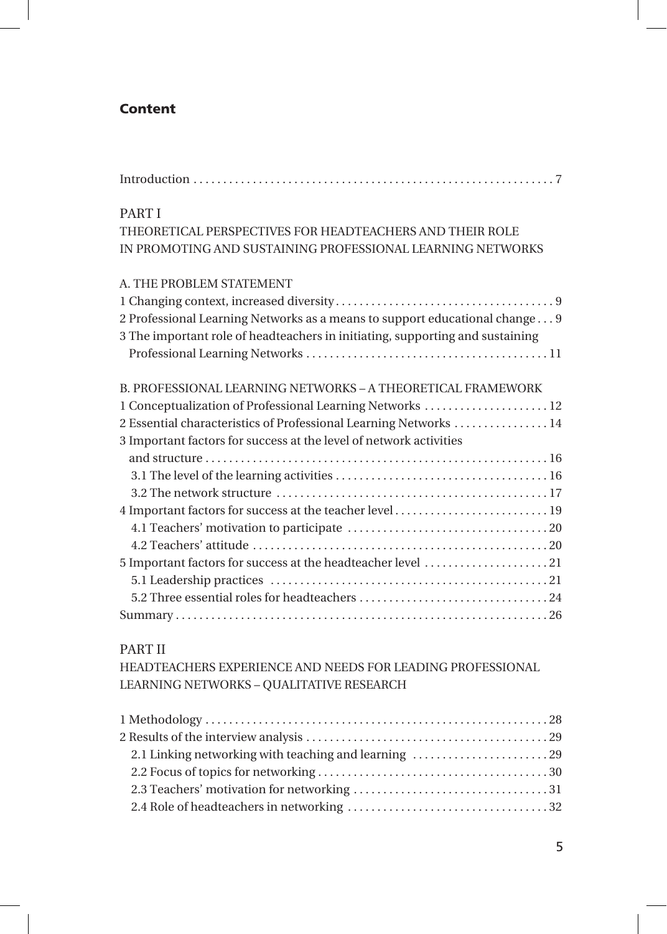## Content

| <b>PART I</b>                                                                 |
|-------------------------------------------------------------------------------|
| THEORETICAL PERSPECTIVES FOR HEADTEACHERS AND THEIR ROLE                      |
| IN PROMOTING AND SUSTAINING PROFESSIONAL LEARNING NETWORKS                    |
| A. THE PROBLEM STATEMENT                                                      |
|                                                                               |
| 2 Professional Learning Networks as a means to support educational change 9   |
| 3 The important role of headteachers in initiating, supporting and sustaining |
|                                                                               |
| B. PROFESSIONAL LEARNING NETWORKS – A THEORETICAL FRAMEWORK                   |
| 1 Conceptualization of Professional Learning Networks  12                     |
| 2 Essential characteristics of Professional Learning Networks  14             |
| 3 Important factors for success at the level of network activities            |
|                                                                               |
|                                                                               |
|                                                                               |
|                                                                               |
|                                                                               |
|                                                                               |
| 5 Important factors for success at the headteacher level 21                   |
|                                                                               |
|                                                                               |
|                                                                               |

## PART II

HEADTEACHERS EXPERIENCE AND NEEDS FOR LEADING PROFESSIONAL LEARNING NETWORKS – QUALITATIVE RESEARCH

| 2.1 Linking networking with teaching and learning 29 |  |
|------------------------------------------------------|--|
|                                                      |  |
|                                                      |  |
|                                                      |  |